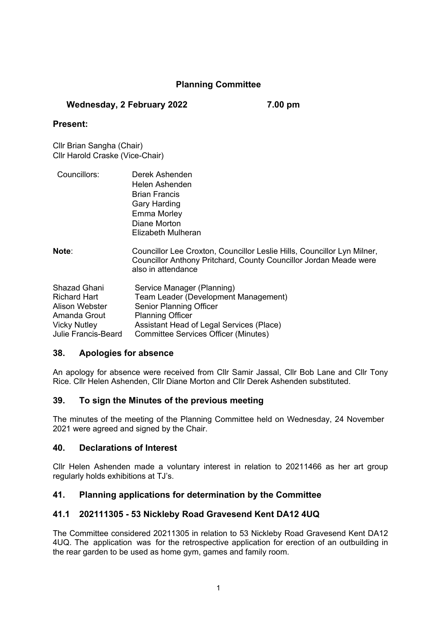# **Planning Committee**

## **Wednesday, 2 February 2022 7.00 pm**

### **Present:**

Cllr Brian Sangha (Chair) Cllr Harold Craske (Vice-Chair)

- Councillors: Derek Ashenden Helen Ashenden Brian Francis Gary Harding Emma Morley Diane Morton Elizabeth Mulheran
- **Note**: Councillor Lee Croxton, Councillor Leslie Hills, Councillor Lyn Milner, Councillor Anthony Pritchard, County Councillor Jordan Meade were also in attendance

| Shazad Ghani        | Service Manager (Planning)                  |
|---------------------|---------------------------------------------|
| Richard Hart        | Team Leader (Development Management)        |
| Alison Webster      | <b>Senior Planning Officer</b>              |
| Amanda Grout        | <b>Planning Officer</b>                     |
| <b>Vicky Nutley</b> | Assistant Head of Legal Services (Place)    |
| Julie Francis-Beard | <b>Committee Services Officer (Minutes)</b> |

## **38. Apologies for absence**

An apology for absence were received from Cllr Samir Jassal, Cllr Bob Lane and Cllr Tony Rice. Cllr Helen Ashenden, Cllr Diane Morton and Cllr Derek Ashenden substituted.

## **39. To sign the Minutes of the previous meeting**

The minutes of the meeting of the Planning Committee held on Wednesday, 24 November 2021 were agreed and signed by the Chair.

### **40. Declarations of Interest**

Cllr Helen Ashenden made a voluntary interest in relation to 20211466 as her art group regularly holds exhibitions at TJ's.

## **41. Planning applications for determination by the Committee**

## **41.1 202111305 - 53 Nickleby Road Gravesend Kent DA12 4UQ**

The Committee considered 20211305 in relation to 53 Nickleby Road Gravesend Kent DA12 4UQ. The application was for the retrospective application for erection of an outbuilding in the rear garden to be used as home gym, games and family room.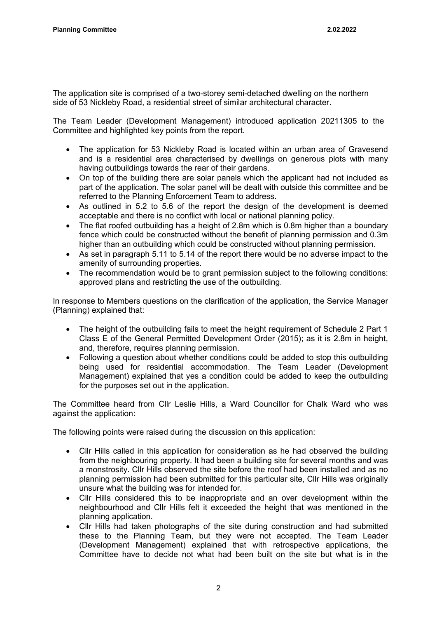The application site is comprised of a two-storey semi-detached dwelling on the northern side of 53 Nickleby Road, a residential street of similar architectural character.

The Team Leader (Development Management) introduced application 20211305 to the Committee and highlighted key points from the report.

- The application for 53 Nickleby Road is located within an urban area of Gravesend and is a residential area characterised by dwellings on generous plots with many having outbuildings towards the rear of their gardens.
- On top of the building there are solar panels which the applicant had not included as part of the application. The solar panel will be dealt with outside this committee and be referred to the Planning Enforcement Team to address.
- As outlined in 5.2 to 5.6 of the report the design of the development is deemed acceptable and there is no conflict with local or national planning policy.
- The flat roofed outbuilding has a height of 2.8m which is 0.8m higher than a boundary fence which could be constructed without the benefit of planning permission and 0.3m higher than an outbuilding which could be constructed without planning permission.
- As set in paragraph 5.11 to 5.14 of the report there would be no adverse impact to the amenity of surrounding properties.
- The recommendation would be to grant permission subject to the following conditions: approved plans and restricting the use of the outbuilding.

In response to Members questions on the clarification of the application, the Service Manager (Planning) explained that:

- The height of the outbuilding fails to meet the height requirement of Schedule 2 Part 1 Class E of the General Permitted Development Order (2015); as it is 2.8m in height, and, therefore, requires planning permission.
- Following a question about whether conditions could be added to stop this outbuilding being used for residential accommodation. The Team Leader (Development Management) explained that yes a condition could be added to keep the outbuilding for the purposes set out in the application.

The Committee heard from Cllr Leslie Hills, a Ward Councillor for Chalk Ward who was against the application:

The following points were raised during the discussion on this application:

- Cllr Hills called in this application for consideration as he had observed the building from the neighbouring property. It had been a building site for several months and was a monstrosity. Cllr Hills observed the site before the roof had been installed and as no planning permission had been submitted for this particular site, Cllr Hills was originally unsure what the building was for intended for.
- Cllr Hills considered this to be inappropriate and an over development within the neighbourhood and Cllr Hills felt it exceeded the height that was mentioned in the planning application.
- Cllr Hills had taken photographs of the site during construction and had submitted these to the Planning Team, but they were not accepted. The Team Leader (Development Management) explained that with retrospective applications, the Committee have to decide not what had been built on the site but what is in the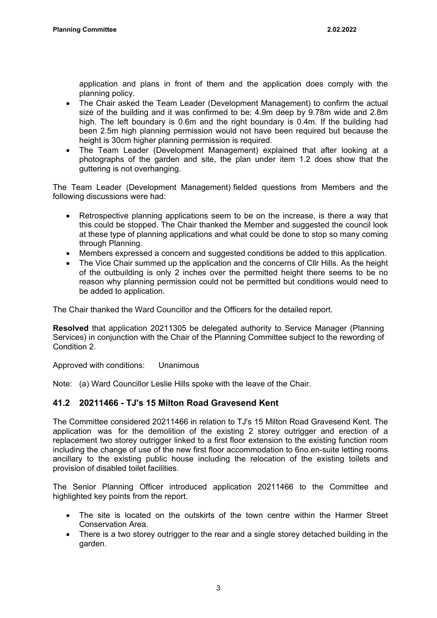application and plans in front of them and the application does comply with the planning policy.

- The Chair asked the Team Leader (Development Management) to confirm the actual size of the building and it was confirmed to be: 4.9m deep by 9.78m wide and 2.8m high. The left boundary is 0.6m and the right boundary is 0.4m. If the building had been 2.5m high planning permission would not have been required but because the height is 30cm higher planning permission is required.
- The Team Leader (Development Management) explained that after looking at a photographs of the garden and site, the plan under item 1.2 does show that the guttering is not overhanging.

The Team Leader (Development Management) fielded questions from Members and the following discussions were had:

- Retrospective planning applications seem to be on the increase, is there a way that this could be stopped. The Chair thanked the Member and suggested the council look at these type of planning applications and what could be done to stop so many coming through Planning.
- Members expressed a concern and suggested conditions be added to this application.
- The Vice Chair summed up the application and the concerns of Cllr Hills. As the height of the outbuilding is only 2 inches over the permitted height there seems to be no reason why planning permission could not be permitted but conditions would need to be added to application.

The Chair thanked the Ward Councillor and the Officers for the detailed report.

**Resolved** that application 20211305 be delegated authority to Service Manager (Planning Services) in conjunction with the Chair of the Planning Committee subject to the rewording of Condition 2.

Approved with conditions: Unanimous

Note: (a) Ward Councillor Leslie Hills spoke with the leave of the Chair.

### **41.2 20211466 - TJ's 15 Milton Road Gravesend Kent**

The Committee considered 20211466 in relation to TJ's 15 Milton Road Gravesend Kent. The application was for the demolition of the existing 2 storey outrigger and erection of a replacement two storey outrigger linked to a first floor extension to the existing function room including the change of use of the new first floor accommodation to 6no.en-suite letting rooms ancillary to the existing public house including the relocation of the existing toilets and provision of disabled toilet facilities.

The Senior Planning Officer introduced application 20211466 to the Committee and highlighted key points from the report.

- The site is located on the outskirts of the town centre within the Harmer Street Conservation Area.
- There is a two storey outrigger to the rear and a single storey detached building in the garden.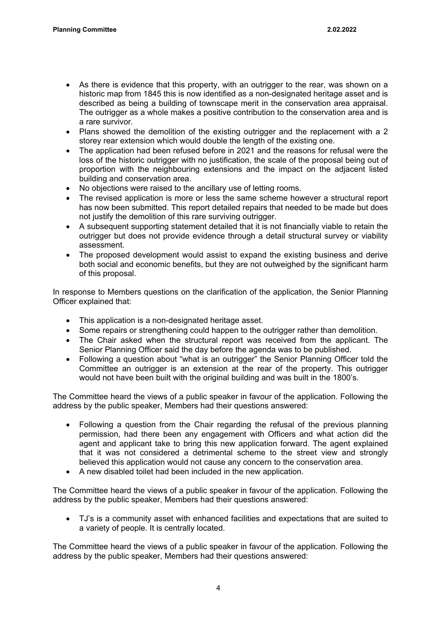- As there is evidence that this property, with an outrigger to the rear, was shown on a historic map from 1845 this is now identified as a non-designated heritage asset and is described as being a building of townscape merit in the conservation area appraisal. The outrigger as a whole makes a positive contribution to the conservation area and is a rare survivor.
- Plans showed the demolition of the existing outrigger and the replacement with a 2 storey rear extension which would double the length of the existing one.
- The application had been refused before in 2021 and the reasons for refusal were the loss of the historic outrigger with no justification, the scale of the proposal being out of proportion with the neighbouring extensions and the impact on the adjacent listed building and conservation area.
- No objections were raised to the ancillary use of letting rooms.
- The revised application is more or less the same scheme however a structural report has now been submitted. This report detailed repairs that needed to be made but does not justify the demolition of this rare surviving outrigger.
- A subsequent supporting statement detailed that it is not financially viable to retain the outrigger but does not provide evidence through a detail structural survey or viability assessment.
- The proposed development would assist to expand the existing business and derive both social and economic benefits, but they are not outweighed by the significant harm of this proposal.

In response to Members questions on the clarification of the application, the Senior Planning Officer explained that:

- This application is a non-designated heritage asset.
- Some repairs or strengthening could happen to the outrigger rather than demolition.
- The Chair asked when the structural report was received from the applicant. The Senior Planning Officer said the day before the agenda was to be published.
- Following a question about "what is an outrigger" the Senior Planning Officer told the Committee an outrigger is an extension at the rear of the property. This outrigger would not have been built with the original building and was built in the 1800's.

The Committee heard the views of a public speaker in favour of the application. Following the address by the public speaker, Members had their questions answered:

- Following a question from the Chair regarding the refusal of the previous planning permission, had there been any engagement with Officers and what action did the agent and applicant take to bring this new application forward. The agent explained that it was not considered a detrimental scheme to the street view and strongly believed this application would not cause any concern to the conservation area.
- A new disabled toilet had been included in the new application.

The Committee heard the views of a public speaker in favour of the application. Following the address by the public speaker, Members had their questions answered:

 TJ's is a community asset with enhanced facilities and expectations that are suited to a variety of people. It is centrally located.

The Committee heard the views of a public speaker in favour of the application. Following the address by the public speaker, Members had their questions answered: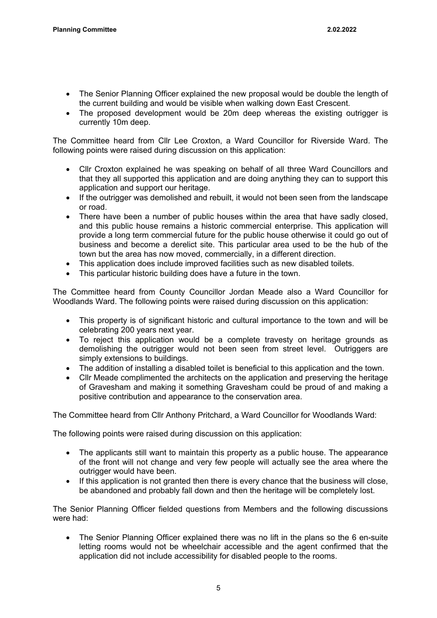- The Senior Planning Officer explained the new proposal would be double the length of the current building and would be visible when walking down East Crescent.
- The proposed development would be 20m deep whereas the existing outrigger is currently 10m deep.

The Committee heard from Cllr Lee Croxton, a Ward Councillor for Riverside Ward. The following points were raised during discussion on this application:

- Cllr Croxton explained he was speaking on behalf of all three Ward Councillors and that they all supported this application and are doing anything they can to support this application and support our heritage.
- If the outrigger was demolished and rebuilt, it would not been seen from the landscape or road.
- There have been a number of public houses within the area that have sadly closed, and this public house remains a historic commercial enterprise. This application will provide a long term commercial future for the public house otherwise it could go out of business and become a derelict site. This particular area used to be the hub of the town but the area has now moved, commercially, in a different direction.
- This application does include improved facilities such as new disabled toilets.
- This particular historic building does have a future in the town.

The Committee heard from County Councillor Jordan Meade also a Ward Councillor for Woodlands Ward. The following points were raised during discussion on this application:

- This property is of significant historic and cultural importance to the town and will be celebrating 200 years next year.
- To reject this application would be a complete travesty on heritage grounds as demolishing the outrigger would not been seen from street level. Outriggers are simply extensions to buildings.
- The addition of installing a disabled toilet is beneficial to this application and the town.
- Cllr Meade complimented the architects on the application and preserving the heritage of Gravesham and making it something Gravesham could be proud of and making a positive contribution and appearance to the conservation area.

The Committee heard from Cllr Anthony Pritchard, a Ward Councillor for Woodlands Ward:

The following points were raised during discussion on this application:

- The applicants still want to maintain this property as a public house. The appearance of the front will not change and very few people will actually see the area where the outrigger would have been.
- If this application is not granted then there is every chance that the business will close, be abandoned and probably fall down and then the heritage will be completely lost.

The Senior Planning Officer fielded questions from Members and the following discussions were had:

 The Senior Planning Officer explained there was no lift in the plans so the 6 en-suite letting rooms would not be wheelchair accessible and the agent confirmed that the application did not include accessibility for disabled people to the rooms.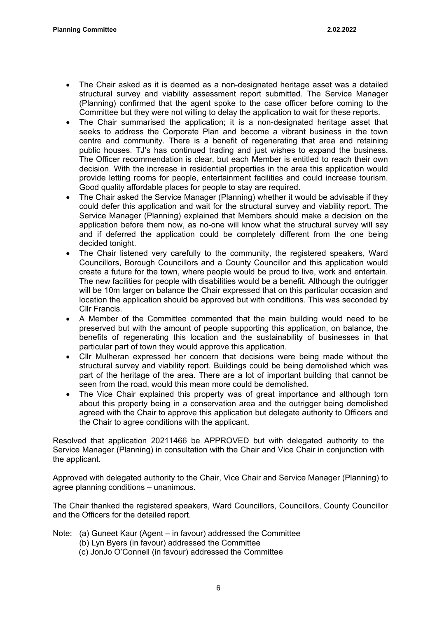- The Chair asked as it is deemed as a non-designated heritage asset was a detailed structural survey and viability assessment report submitted. The Service Manager (Planning) confirmed that the agent spoke to the case officer before coming to the Committee but they were not willing to delay the application to wait for these reports.
- The Chair summarised the application; it is a non-designated heritage asset that seeks to address the Corporate Plan and become a vibrant business in the town centre and community. There is a benefit of regenerating that area and retaining public houses. TJ's has continued trading and just wishes to expand the business. The Officer recommendation is clear, but each Member is entitled to reach their own decision. With the increase in residential properties in the area this application would provide letting rooms for people, entertainment facilities and could increase tourism. Good quality affordable places for people to stay are required.
- The Chair asked the Service Manager (Planning) whether it would be advisable if they could defer this application and wait for the structural survey and viability report. The Service Manager (Planning) explained that Members should make a decision on the application before them now, as no-one will know what the structural survey will say and if deferred the application could be completely different from the one being decided tonight.
- The Chair listened very carefully to the community, the registered speakers, Ward Councillors, Borough Councillors and a County Councillor and this application would create a future for the town, where people would be proud to live, work and entertain. The new facilities for people with disabilities would be a benefit. Although the outrigger will be 10m larger on balance the Chair expressed that on this particular occasion and location the application should be approved but with conditions. This was seconded by Cllr Francis.
- A Member of the Committee commented that the main building would need to be preserved but with the amount of people supporting this application, on balance, the benefits of regenerating this location and the sustainability of businesses in that particular part of town they would approve this application.
- Cllr Mulheran expressed her concern that decisions were being made without the structural survey and viability report. Buildings could be being demolished which was part of the heritage of the area. There are a lot of important building that cannot be seen from the road, would this mean more could be demolished.
- The Vice Chair explained this property was of great importance and although torn about this property being in a conservation area and the outrigger being demolished agreed with the Chair to approve this application but delegate authority to Officers and the Chair to agree conditions with the applicant.

Resolved that application 20211466 be APPROVED but with delegated authority to the Service Manager (Planning) in consultation with the Chair and Vice Chair in conjunction with the applicant.

Approved with delegated authority to the Chair, Vice Chair and Service Manager (Planning) to agree planning conditions – unanimous.

The Chair thanked the registered speakers, Ward Councillors, Councillors, County Councillor and the Officers for the detailed report.

- Note: (a) Guneet Kaur (Agent in favour) addressed the Committee
	- (b) Lyn Byers (in favour) addressed the Committee
	- (c) JonJo O'Connell (in favour) addressed the Committee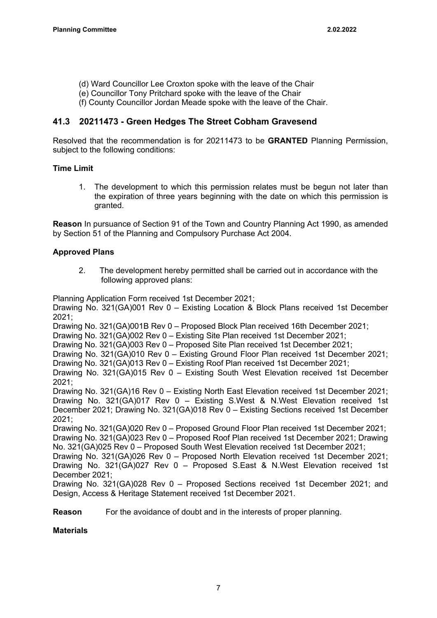- (d) Ward Councillor Lee Croxton spoke with the leave of the Chair
- (e) Councillor Tony Pritchard spoke with the leave of the Chair
- (f) County Councillor Jordan Meade spoke with the leave of the Chair.

### **41.3 20211473 - Green Hedges The Street Cobham Gravesend**

Resolved that the recommendation is for 20211473 to be **GRANTED** Planning Permission, subject to the following conditions:

#### **Time Limit**

1. The development to which this permission relates must be begun not later than the expiration of three years beginning with the date on which this permission is granted.

**Reason** In pursuance of Section 91 of the Town and Country Planning Act 1990, as amended by Section 51 of the Planning and Compulsory Purchase Act 2004.

#### **Approved Plans**

2. The development hereby permitted shall be carried out in accordance with the following approved plans:

Planning Application Form received 1st December 2021;

Drawing No. 321(GA)001 Rev 0 – Existing Location & Block Plans received 1st December 2021;

Drawing No. 321(GA)001B Rev 0 – Proposed Block Plan received 16th December 2021;

Drawing No. 321(GA)002 Rev 0 – Existing Site Plan received 1st December 2021;

Drawing No. 321(GA)003 Rev 0 – Proposed Site Plan received 1st December 2021;

Drawing No. 321(GA)010 Rev 0 – Existing Ground Floor Plan received 1st December 2021; Drawing No. 321(GA)013 Rev 0 – Existing Roof Plan received 1st December 2021;

Drawing No. 321(GA)015 Rev 0 – Existing South West Elevation received 1st December 2021;

Drawing No. 321(GA)16 Rev 0 – Existing North East Elevation received 1st December 2021; Drawing No. 321(GA)017 Rev 0 – Existing S.West & N.West Elevation received 1st December 2021; Drawing No. 321(GA)018 Rev 0 – Existing Sections received 1st December 2021;

Drawing No. 321(GA)020 Rev 0 – Proposed Ground Floor Plan received 1st December 2021; Drawing No. 321(GA)023 Rev 0 – Proposed Roof Plan received 1st December 2021; Drawing No. 321(GA)025 Rev 0 – Proposed South West Elevation received 1st December 2021;

Drawing No. 321(GA)026 Rev 0 – Proposed North Elevation received 1st December 2021; Drawing No. 321(GA)027 Rev 0 – Proposed S.East & N.West Elevation received 1st December 2021;

Drawing No. 321(GA)028 Rev 0 – Proposed Sections received 1st December 2021; and Design, Access & Heritage Statement received 1st December 2021.

**Reason** For the avoidance of doubt and in the interests of proper planning.

#### **Materials**